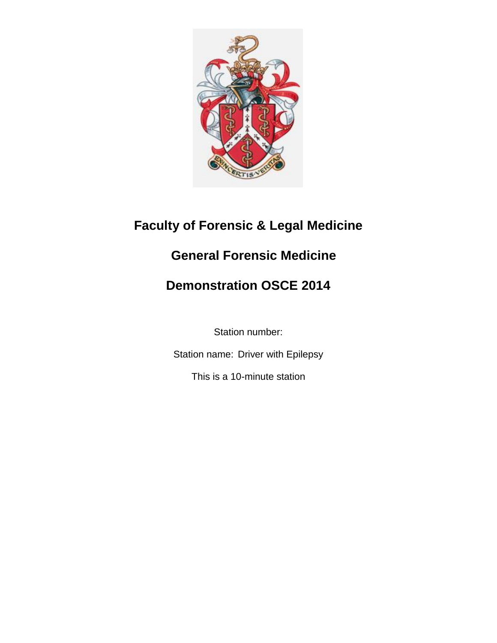

# **Faculty of Forensic & Legal Medicine**

# **General Forensic Medicine**

# **Demonstration OSCE 2014**

Station number:

Station name: Driver with Epilepsy

This is a 10-minute station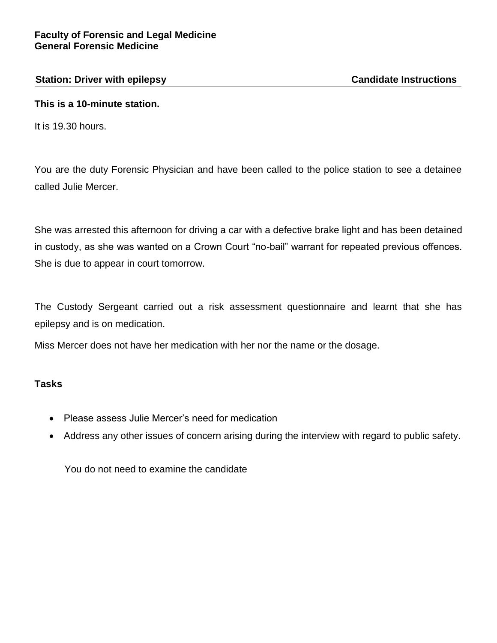#### **Station: Driver with epilepsy Candidate Instructions**

# **This is a 10-minute station.**

It is 19.30 hours.

You are the duty Forensic Physician and have been called to the police station to see a detainee called Julie Mercer.

She was arrested this afternoon for driving a car with a defective brake light and has been detained in custody, as she was wanted on a Crown Court "no-bail" warrant for repeated previous offences. She is due to appear in court tomorrow.

The Custody Sergeant carried out a risk assessment questionnaire and learnt that she has epilepsy and is on medication.

Miss Mercer does not have her medication with her nor the name or the dosage.

# **Tasks**

- Please assess Julie Mercer's need for medication
- Address any other issues of concern arising during the interview with regard to public safety.

You do not need to examine the candidate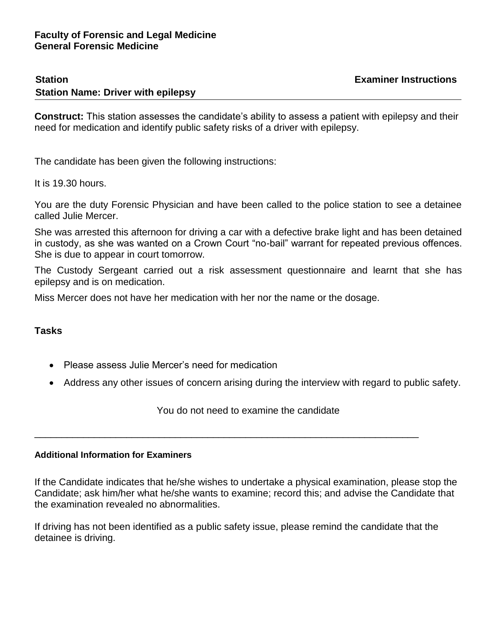#### **Station Examiner Instructions Station Name: Driver with epilepsy**

**Construct:** This station assesses the candidate's ability to assess a patient with epilepsy and their need for medication and identify public safety risks of a driver with epilepsy.

The candidate has been given the following instructions:

It is 19.30 hours.

You are the duty Forensic Physician and have been called to the police station to see a detainee called Julie Mercer.

She was arrested this afternoon for driving a car with a defective brake light and has been detained in custody, as she was wanted on a Crown Court "no-bail" warrant for repeated previous offences. She is due to appear in court tomorrow.

The Custody Sergeant carried out a risk assessment questionnaire and learnt that she has epilepsy and is on medication.

Miss Mercer does not have her medication with her nor the name or the dosage.

#### **Tasks**

- Please assess Julie Mercer's need for medication
- Address any other issues of concern arising during the interview with regard to public safety.

You do not need to examine the candidate

\_\_\_\_\_\_\_\_\_\_\_\_\_\_\_\_\_\_\_\_\_\_\_\_\_\_\_\_\_\_\_\_\_\_\_\_\_\_\_\_\_\_\_\_\_\_\_\_\_\_\_\_\_\_\_\_\_\_\_\_\_\_\_\_\_\_\_\_\_\_\_

#### **Additional Information for Examiners**

If the Candidate indicates that he/she wishes to undertake a physical examination, please stop the Candidate; ask him/her what he/she wants to examine; record this; and advise the Candidate that the examination revealed no abnormalities.

If driving has not been identified as a public safety issue, please remind the candidate that the detainee is driving.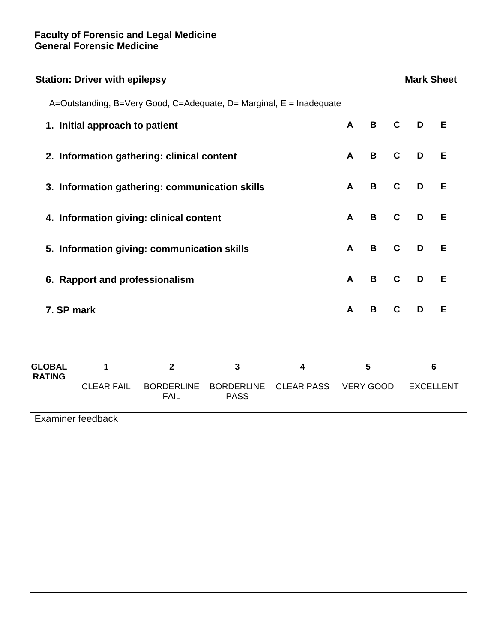| <b>Station: Driver with epilepsy</b>                                |                   |                                  |                                  |                   |                  |             |             | <b>Mark Sheet</b> |   |  |
|---------------------------------------------------------------------|-------------------|----------------------------------|----------------------------------|-------------------|------------------|-------------|-------------|-------------------|---|--|
| A=Outstanding, B=Very Good, C=Adequate, D= Marginal, E = Inadequate |                   |                                  |                                  |                   |                  |             |             |                   |   |  |
| 1. Initial approach to patient                                      |                   |                                  |                                  |                   | A                | B           | $\mathbf C$ | D                 | E |  |
| 2. Information gathering: clinical content                          |                   |                                  |                                  |                   |                  | B           | $\mathbf C$ | D                 | Е |  |
| 3. Information gathering: communication skills                      |                   |                                  |                                  |                   |                  | B           | $\mathbf c$ | D                 | E |  |
| 4. Information giving: clinical content                             |                   |                                  |                                  |                   |                  | $\mathbf B$ | $\mathbf c$ | D                 | E |  |
| 5. Information giving: communication skills                         |                   |                                  |                                  |                   | A                | $\mathbf B$ | $\mathbf c$ | D                 | E |  |
| 6. Rapport and professionalism                                      |                   |                                  |                                  |                   | A                | B           | $\mathbf c$ | D                 | E |  |
| 7. SP mark                                                          |                   |                                  |                                  |                   | A                | B           | $\mathbf C$ | D                 | E |  |
| <b>GLOBAL</b><br><b>RATING</b>                                      | $\mathbf{1}$      | $\mathbf{2}$                     | $\mathbf{3}$                     | 4                 | 5                |             |             | 6                 |   |  |
|                                                                     | <b>CLEAR FAIL</b> | <b>BORDERLINE</b><br><b>FAIL</b> | <b>BORDERLINE</b><br><b>PASS</b> | <b>CLEAR PASS</b> | <b>VERY GOOD</b> |             |             | <b>EXCELLENT</b>  |   |  |
|                                                                     | Examiner feedback |                                  |                                  |                   |                  |             |             |                   |   |  |
|                                                                     |                   |                                  |                                  |                   |                  |             |             |                   |   |  |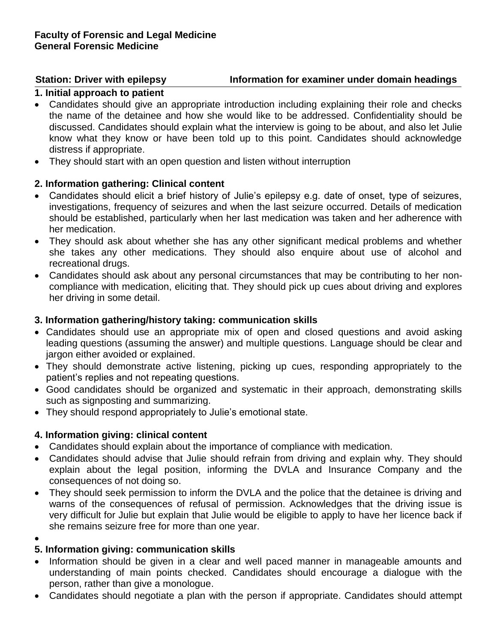# **Station: Driver with epilepsy Station for examiner under domain headings**

# **1. Initial approach to patient**

- Candidates should give an appropriate introduction including explaining their role and checks the name of the detainee and how she would like to be addressed. Confidentiality should be discussed. Candidates should explain what the interview is going to be about, and also let Julie know what they know or have been told up to this point. Candidates should acknowledge distress if appropriate.
- They should start with an open question and listen without interruption

# **2. Information gathering: Clinical content**

- Candidates should elicit a brief history of Julie's epilepsy e.g. date of onset, type of seizures, investigations, frequency of seizures and when the last seizure occurred. Details of medication should be established, particularly when her last medication was taken and her adherence with her medication.
- They should ask about whether she has any other significant medical problems and whether she takes any other medications. They should also enquire about use of alcohol and recreational drugs.
- Candidates should ask about any personal circumstances that may be contributing to her noncompliance with medication, eliciting that. They should pick up cues about driving and explores her driving in some detail.

### **3. Information gathering/history taking: communication skills**

- Candidates should use an appropriate mix of open and closed questions and avoid asking leading questions (assuming the answer) and multiple questions. Language should be clear and jargon either avoided or explained.
- They should demonstrate active listening, picking up cues, responding appropriately to the patient's replies and not repeating questions.
- Good candidates should be organized and systematic in their approach, demonstrating skills such as signposting and summarizing.
- They should respond appropriately to Julie's emotional state.

# **4. Information giving: clinical content**

- Candidates should explain about the importance of compliance with medication.
- Candidates should advise that Julie should refrain from driving and explain why. They should explain about the legal position, informing the DVLA and Insurance Company and the consequences of not doing so.
- They should seek permission to inform the DVLA and the police that the detainee is driving and warns of the consequences of refusal of permission. Acknowledges that the driving issue is very difficult for Julie but explain that Julie would be eligible to apply to have her licence back if she remains seizure free for more than one year.
- $\bullet$

# **5. Information giving: communication skills**

- Information should be given in a clear and well paced manner in manageable amounts and understanding of main points checked. Candidates should encourage a dialogue with the person, rather than give a monologue.
- Candidates should negotiate a plan with the person if appropriate. Candidates should attempt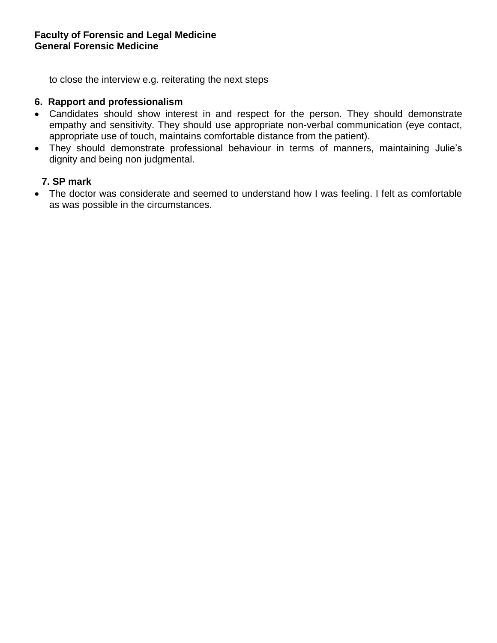to close the interview e.g. reiterating the next steps

### **6. Rapport and professionalism**

- Candidates should show interest in and respect for the person. They should demonstrate empathy and sensitivity. They should use appropriate non-verbal communication (eye contact, appropriate use of touch, maintains comfortable distance from the patient).
- They should demonstrate professional behaviour in terms of manners, maintaining Julie's dignity and being non judgmental.

#### **7. SP mark**

 The doctor was considerate and seemed to understand how I was feeling. I felt as comfortable as was possible in the circumstances.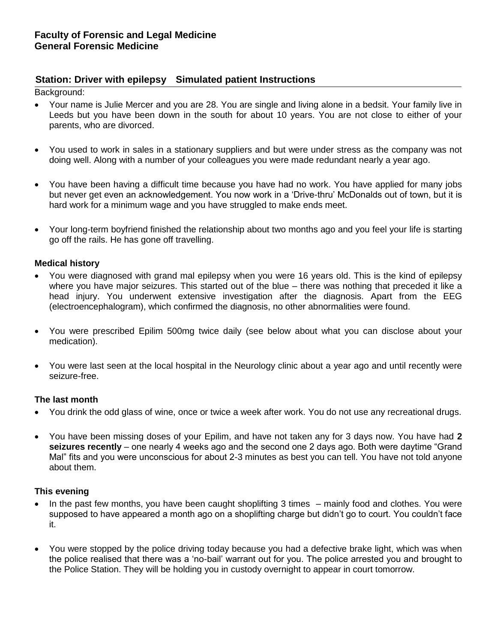#### **Station: Driver with epilepsy Simulated patient Instructions**

Background:

- Your name is Julie Mercer and you are 28. You are single and living alone in a bedsit. Your family live in Leeds but you have been down in the south for about 10 years. You are not close to either of your parents, who are divorced.
- You used to work in sales in a stationary suppliers and but were under stress as the company was not doing well. Along with a number of your colleagues you were made redundant nearly a year ago.
- You have been having a difficult time because you have had no work. You have applied for many jobs but never get even an acknowledgement. You now work in a 'Drive-thru' McDonalds out of town, but it is hard work for a minimum wage and you have struggled to make ends meet.
- Your long-term boyfriend finished the relationship about two months ago and you feel your life is starting go off the rails. He has gone off travelling.

#### **Medical history**

- You were diagnosed with grand mal epilepsy when you were 16 years old. This is the kind of epilepsy where you have major seizures. This started out of the blue – there was nothing that preceded it like a head injury. You underwent extensive investigation after the diagnosis. Apart from the EEG (electroencephalogram), which confirmed the diagnosis, no other abnormalities were found.
- You were prescribed Epilim 500mg twice daily (see below about what you can disclose about your medication).
- You were last seen at the local hospital in the Neurology clinic about a year ago and until recently were seizure-free.

#### **The last month**

- You drink the odd glass of wine, once or twice a week after work. You do not use any recreational drugs.
- You have been missing doses of your Epilim, and have not taken any for 3 days now. You have had **2 seizures recently** – one nearly 4 weeks ago and the second one 2 days ago. Both were daytime "Grand Mal" fits and you were unconscious for about 2-3 minutes as best you can tell. You have not told anyone about them.

#### **This evening**

- In the past few months, you have been caught shoplifting 3 times mainly food and clothes. You were supposed to have appeared a month ago on a shoplifting charge but didn't go to court. You couldn't face it.
- You were stopped by the police driving today because you had a defective brake light, which was when the police realised that there was a 'no-bail' warrant out for you. The police arrested you and brought to the Police Station. They will be holding you in custody overnight to appear in court tomorrow.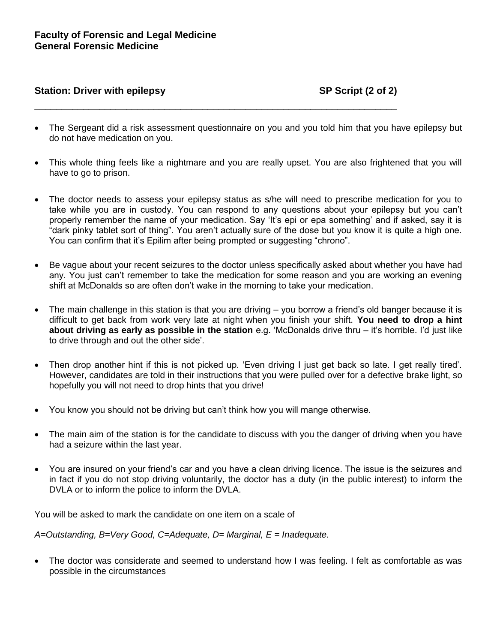#### Station: Driver with epilepsy **SP Script (2 of 2)** SP Script (2 of 2)

 The Sergeant did a risk assessment questionnaire on you and you told him that you have epilepsy but do not have medication on you.

\_\_\_\_\_\_\_\_\_\_\_\_\_\_\_\_\_\_\_\_\_\_\_\_\_\_\_\_\_\_\_\_\_\_\_\_\_\_\_\_\_\_\_\_\_\_\_\_\_\_\_\_\_\_\_\_\_\_\_\_\_\_\_\_\_\_\_

- This whole thing feels like a nightmare and you are really upset. You are also frightened that you will have to go to prison.
- The doctor needs to assess your epilepsy status as s/he will need to prescribe medication for you to take while you are in custody. You can respond to any questions about your epilepsy but you can't properly remember the name of your medication. Say 'It's epi or epa something' and if asked, say it is "dark pinky tablet sort of thing". You aren't actually sure of the dose but you know it is quite a high one. You can confirm that it's Epilim after being prompted or suggesting "chrono".
- Be vague about your recent seizures to the doctor unless specifically asked about whether you have had any. You just can't remember to take the medication for some reason and you are working an evening shift at McDonalds so are often don't wake in the morning to take your medication.
- The main challenge in this station is that you are driving you borrow a friend's old banger because it is difficult to get back from work very late at night when you finish your shift. **You need to drop a hint about driving as early as possible in the station** e.g. 'McDonalds drive thru – it's horrible. I'd just like to drive through and out the other side'.
- Then drop another hint if this is not picked up. 'Even driving I just get back so late. I get really tired'. However, candidates are told in their instructions that you were pulled over for a defective brake light, so hopefully you will not need to drop hints that you drive!
- You know you should not be driving but can't think how you will mange otherwise.
- The main aim of the station is for the candidate to discuss with you the danger of driving when you have had a seizure within the last year.
- You are insured on your friend's car and you have a clean driving licence. The issue is the seizures and in fact if you do not stop driving voluntarily, the doctor has a duty (in the public interest) to inform the DVLA or to inform the police to inform the DVLA.

You will be asked to mark the candidate on one item on a scale of

*A=Outstanding, B=Very Good, C=Adequate, D= Marginal, E = Inadequate.* 

 The doctor was considerate and seemed to understand how I was feeling. I felt as comfortable as was possible in the circumstances